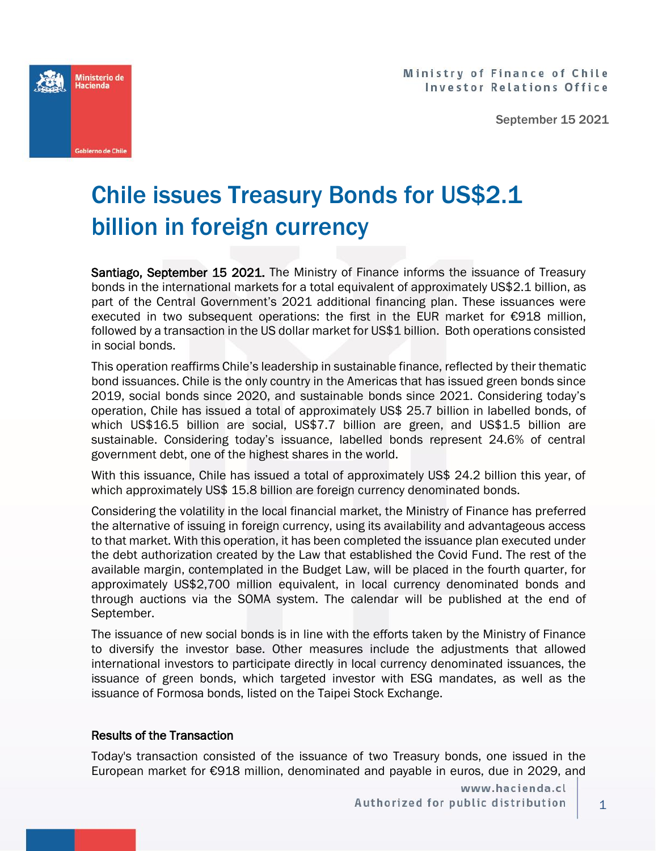

September 15 2021



## Chile issues Treasury Bonds for US\$2.1 billion in foreign currency

Santiago, September 15 2021. The Ministry of Finance informs the issuance of Treasury bonds in the international markets for a total equivalent of approximately US\$2.1 billion, as part of the Central Government's 2021 additional financing plan. These issuances were executed in two subsequent operations: the first in the EUR market for €918 million, followed by a transaction in the US dollar market for US\$1 billion. Both operations consisted in social bonds.

This operation reaffirms Chile's leadership in sustainable finance, reflected by their thematic bond issuances. Chile is the only country in the Americas that has issued green bonds since 2019, social bonds since 2020, and sustainable bonds since 2021. Considering today's operation, Chile has issued a total of approximately US\$ 25.7 billion in labelled bonds, of which US\$16.5 billion are social, US\$7.7 billion are green, and US\$1.5 billion are sustainable. Considering today's issuance, labelled bonds represent 24.6% of central government debt, one of the highest shares in the world.

With this issuance, Chile has issued a total of approximately US\$ 24.2 billion this year, of which approximately US\$ 15.8 billion are foreign currency denominated bonds.

Considering the volatility in the local financial market, the Ministry of Finance has preferred the alternative of issuing in foreign currency, using its availability and advantageous access to that market. With this operation, it has been completed the issuance plan executed under the debt authorization created by the Law that established the Covid Fund. The rest of the available margin, contemplated in the Budget Law, will be placed in the fourth quarter, for approximately US\$2,700 million equivalent, in local currency denominated bonds and through auctions via the SOMA system. The calendar will be published at the end of September.

The issuance of new social bonds is in line with the efforts taken by the Ministry of Finance to diversify the investor base. Other measures include the adjustments that allowed international investors to participate directly in local currency denominated issuances, the issuance of green bonds, which targeted investor with ESG mandates, as well as the issuance of Formosa bonds, listed on the Taipei Stock Exchange.

## Results of the Transaction

Today's transaction consisted of the issuance of two Treasury bonds, one issued in the European market for €918 million, denominated and payable in euros, due in 2029, and